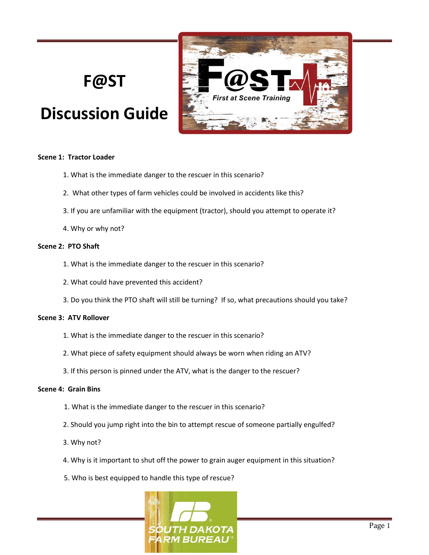# **F@ST**

# **Discussion Guide**



### **Scene 1: Tractor Loader**

- 1. What is the immediate danger to the rescuer in this scenario?
- 2. What other types of farm vehicles could be involved in accidents like this?
- 3. If you are unfamiliar with the equipment (tractor), should you attempt to operate it?
- 4. Why or why not?

# **Scene 2: PTO Shaft**

- 1. What is the immediate danger to the rescuer in this scenario?
- 2. What could have prevented this accident?
- 3. Do you think the PTO shaft will still be turning? If so, what precautions should you take?

# **Scene 3: ATV Rollover**

- 1. What is the immediate danger to the rescuer in this scenario?
- 2. What piece of safety equipment should always be worn when riding an ATV?
- 3. If this person is pinned under the ATV, what is the danger to the rescuer?

# **Scene 4: Grain Bins**

- 1. What is the immediate danger to the rescuer in this scenario?
- 2. Should you jump right into the bin to attempt rescue of someone partially engulfed?
- 3. Why not?
- 4. Why is it important to shut off the power to grain auger equipment in this situation?
- 5. Who is best equipped to handle this type of rescue?

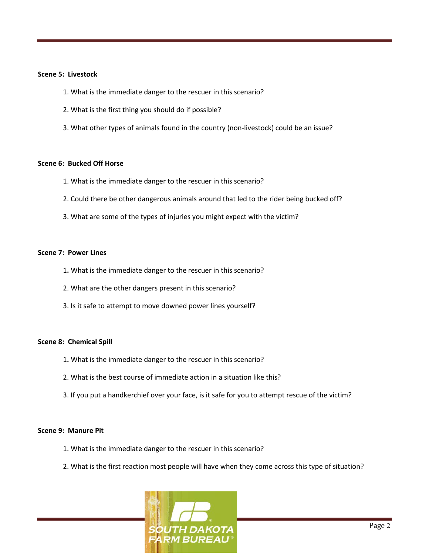#### **Scene 5: Livestock**

- 1. What is the immediate danger to the rescuer in this scenario?
- 2. What is the first thing you should do if possible?
- 3. What other types of animals found in the country (non-livestock) could be an issue?

#### **Scene 6: Bucked Off Horse**

- 1. What is the immediate danger to the rescuer in this scenario?
- 2. Could there be other dangerous animals around that led to the rider being bucked off?
- 3. What are some of the types of injuries you might expect with the victim?

### **Scene 7: Power Lines**

- 1**.** What is the immediate danger to the rescuer in this scenario?
- 2. What are the other dangers present in this scenario?
- 3. Is it safe to attempt to move downed power lines yourself?

#### **Scene 8: Chemical Spill**

- 1**.** What is the immediate danger to the rescuer in this scenario?
- 2. What is the best course of immediate action in a situation like this?
- 3. If you put a handkerchief over your face, is it safe for you to attempt rescue of the victim?

#### **Scene 9: Manure Pit**

- 1. What is the immediate danger to the rescuer in this scenario?
- 2. What is the first reaction most people will have when they come across this type of situation?